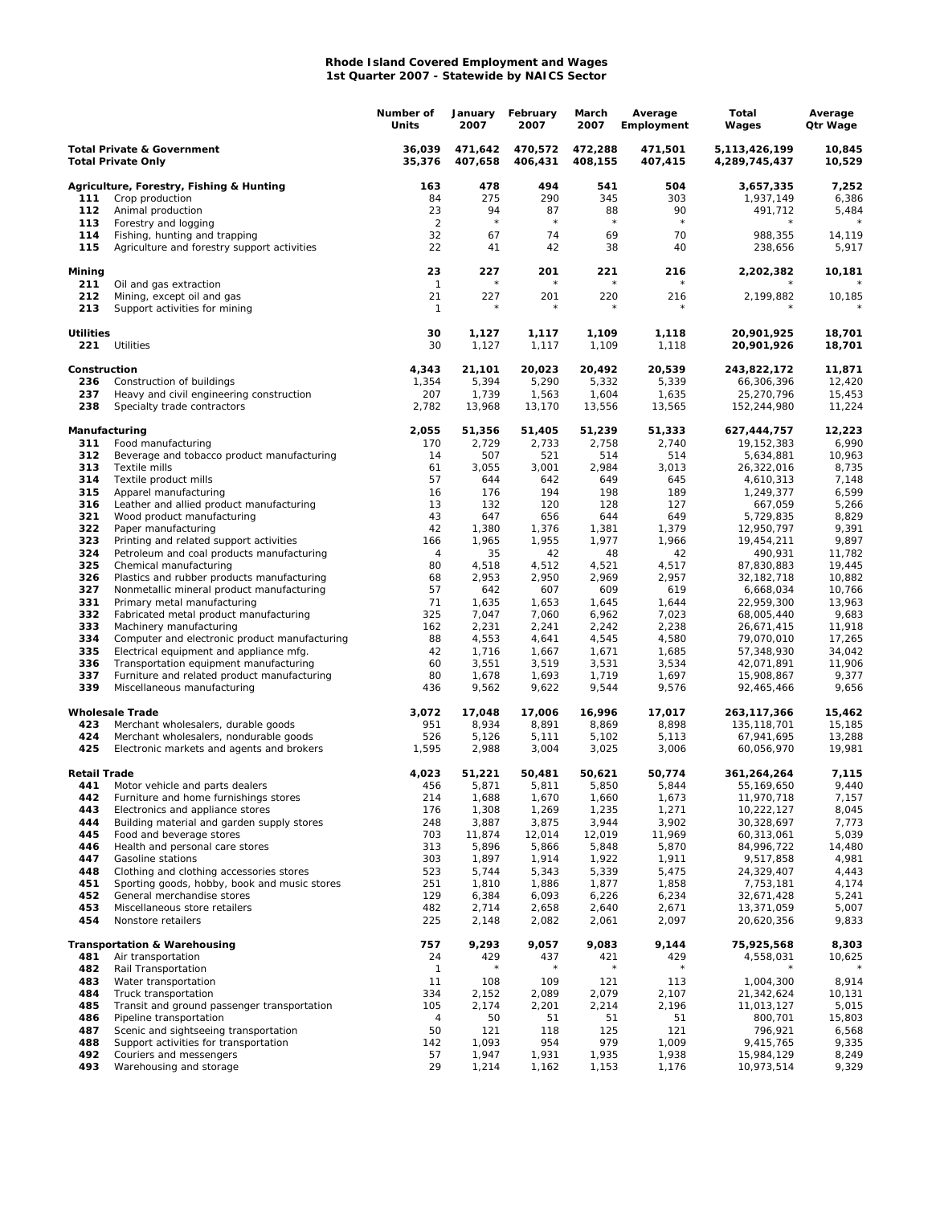## **Rhode Island Covered Employment and Wages 1st Quarter 2007 - Statewide by NAICS Sector**

|                                                                    |                                                                                          | Number of<br>Units   | January<br>2007    | February<br>2007   | March<br>2007      | Average<br>Employment | Total<br>Wages                 | Average<br>Qtr Wage |
|--------------------------------------------------------------------|------------------------------------------------------------------------------------------|----------------------|--------------------|--------------------|--------------------|-----------------------|--------------------------------|---------------------|
| <b>Total Private &amp; Government</b><br><b>Total Private Only</b> |                                                                                          | 36,039<br>35,376     | 471,642<br>407,658 | 470,572<br>406,431 | 472,288<br>408,155 | 471,501<br>407,415    | 5,113,426,199<br>4,289,745,437 | 10,845<br>10,529    |
|                                                                    | Agriculture, Forestry, Fishing & Hunting                                                 | 163                  | 478                | 494                | 541                | 504                   | 3,657,335                      | 7,252               |
| 111                                                                | Crop production                                                                          | 84                   | 275                | 290                | 345                | 303                   | 1,937,149                      | 6,386               |
| 112<br>113                                                         | Animal production<br>Forestry and logging                                                | 23<br>$\overline{2}$ | 94<br>$\star$      | 87<br>$\star$      | 88<br>$\star$      | 90<br>$\star$         | 491,712<br>$^{\star}$          | 5,484               |
| 114                                                                | Fishing, hunting and trapping                                                            | 32                   | 67                 | 74                 | 69                 | 70                    | 988,355                        | 14,119              |
| 115                                                                | Agriculture and forestry support activities                                              | 22                   | 41                 | 42                 | 38                 | 40                    | 238,656                        | 5,917               |
| Mining<br>211                                                      | Oil and gas extraction                                                                   | 23<br>$\mathbf{1}$   | 227                | 201                | 221<br>$\star$     | 216                   | 2,202,382                      | 10,181              |
| 212<br>213                                                         | Mining, except oil and gas<br>Support activities for mining                              | 21<br>$\mathbf{1}$   | 227<br>$^{\star}$  | 201<br>$\star$     | 220<br>$\star$     | 216<br>$^\star$       | 2,199,882                      | 10,185              |
| <b>Utilities</b><br>221                                            | Utilities                                                                                | 30<br>30             | 1,127<br>1,127     | 1,117<br>1,117     | 1,109<br>1,109     | 1,118<br>1,118        | 20,901,925<br>20,901,926       | 18,701<br>18,701    |
| Construction                                                       |                                                                                          | 4,343                | 21,101             | 20,023             | 20,492             | 20,539                | 243,822,172                    | 11,871              |
| 236                                                                | Construction of buildings                                                                | 1,354                | 5,394              | 5,290              | 5,332              | 5,339                 | 66,306,396                     | 12,420              |
| 237                                                                | Heavy and civil engineering construction                                                 | 207                  | 1,739              | 1,563              | 1,604              | 1,635                 | 25,270,796                     | 15,453              |
| 238                                                                | Specialty trade contractors                                                              | 2,782                | 13,968             | 13,170             | 13,556             | 13,565                | 152,244,980                    | 11,224              |
| Manufacturing                                                      |                                                                                          | 2,055                | 51,356             | 51,405             | 51,239             | 51,333                | 627,444,757                    | 12,223              |
| 311<br>312                                                         | Food manufacturing<br>Beverage and tobacco product manufacturing                         | 170<br>14            | 2,729<br>507       | 2,733<br>521       | 2,758<br>514       | 2,740<br>514          | 19, 152, 383<br>5,634,881      | 6,990<br>10,963     |
| 313                                                                | Textile mills                                                                            | 61                   | 3,055              | 3,001              | 2,984              | 3,013                 | 26,322,016                     | 8,735               |
| 314                                                                | Textile product mills                                                                    | 57                   | 644                | 642                | 649                | 645                   | 4,610,313                      | 7,148               |
| 315                                                                | Apparel manufacturing                                                                    | 16                   | 176                | 194                | 198                | 189                   | 1,249,377                      | 6,599               |
| 316<br>321                                                         | Leather and allied product manufacturing<br>Wood product manufacturing                   | 13<br>43             | 132<br>647         | 120<br>656         | 128<br>644         | 127<br>649            | 667,059<br>5,729,835           | 5,266<br>8,829      |
| 322                                                                | Paper manufacturing                                                                      | 42                   | 1,380              | 1,376              | 1,381              | 1,379                 | 12,950,797                     | 9,391               |
| 323                                                                | Printing and related support activities                                                  | 166                  | 1,965              | 1,955              | 1,977              | 1,966                 | 19,454,211                     | 9,897               |
| 324                                                                | Petroleum and coal products manufacturing                                                | 4                    | 35                 | 42                 | 48                 | 42                    | 490,931                        | 11,782              |
| 325                                                                | Chemical manufacturing                                                                   | 80                   | 4,518              | 4,512              | 4,521              | 4,517                 | 87,830,883                     | 19,445              |
| 326<br>327                                                         | Plastics and rubber products manufacturing<br>Nonmetallic mineral product manufacturing  | 68<br>57             | 2,953<br>642       | 2,950<br>607       | 2,969<br>609       | 2,957<br>619          | 32, 182, 718<br>6,668,034      | 10,882<br>10,766    |
| 331                                                                | Primary metal manufacturing                                                              | 71                   | 1,635              | 1,653              | 1,645              | 1,644                 | 22,959,300                     | 13,963              |
| 332                                                                | Fabricated metal product manufacturing                                                   | 325                  | 7,047              | 7,060              | 6,962              | 7,023                 | 68,005,440                     | 9,683               |
| 333                                                                | Machinery manufacturing                                                                  | 162                  | 2,231              | 2,241              | 2,242              | 2,238                 | 26,671,415                     | 11,918              |
| 334                                                                | Computer and electronic product manufacturing                                            | 88                   | 4,553              | 4,641              | 4,545              | 4,580                 | 79,070,010                     | 17,265              |
| 335<br>336                                                         | Electrical equipment and appliance mfg.<br>Transportation equipment manufacturing        | 42<br>60             | 1,716<br>3,551     | 1,667<br>3,519     | 1,671<br>3,531     | 1,685<br>3,534        | 57,348,930<br>42,071,891       | 34,042<br>11,906    |
| 337                                                                | Furniture and related product manufacturing                                              | 80                   | 1,678              | 1,693              | 1,719              | 1,697                 | 15,908,867                     | 9,377               |
| 339                                                                | Miscellaneous manufacturing                                                              | 436                  | 9,562              | 9,622              | 9,544              | 9,576                 | 92,465,466                     | 9,656               |
|                                                                    | <b>Wholesale Trade</b>                                                                   | 3,072                | 17,048             | 17,006             | 16,996             | 17,017                | 263,117,366                    | 15,462              |
| 423<br>424                                                         | Merchant wholesalers, durable goods                                                      | 951<br>526           | 8,934<br>5,126     | 8,891<br>5,111     | 8,869<br>5,102     | 8,898<br>5,113        | 135,118,701<br>67,941,695      | 15,185<br>13,288    |
| 425                                                                | Merchant wholesalers, nondurable goods<br>Electronic markets and agents and brokers      | 1,595                | 2,988              | 3,004              | 3,025              | 3,006                 | 60,056,970                     | 19,981              |
| Retail Trade                                                       |                                                                                          | 4,023                | 51,221             | 50,481             | 50,621             | 50,774                | 361,264,264                    | 7,115               |
| 441                                                                | Motor vehicle and parts dealers                                                          | 456                  | 5,871              | 5,811              | 5,850              | 5,844                 | 55,169,650                     | 9,440               |
| 442<br>443                                                         | Furniture and home furnishings stores                                                    | 214<br>176           | 1,688<br>1,308     | 1,670<br>1,269     | 1,660<br>1,235     | 1,673<br>1,271        | 11,970,718                     | 7,157<br>8,045      |
| 444                                                                | Electronics and appliance stores<br>Building material and garden supply stores           | 248                  | 3,887              | 3,875              | 3,944              | 3,902                 | 10,222,127<br>30,328,697       | 7,773               |
| 445                                                                | Food and beverage stores                                                                 | 703                  | 11,874             | 12,014             | 12,019             | 11,969                | 60,313,061                     | 5,039               |
| 446                                                                | Health and personal care stores                                                          | 313                  | 5,896              | 5,866              | 5,848              | 5,870                 | 84,996,722                     | 14,480              |
| 447                                                                | Gasoline stations                                                                        | 303                  | 1,897              | 1,914              | 1,922              | 1,911                 | 9,517,858                      | 4,981               |
| 448<br>451                                                         | Clothing and clothing accessories stores<br>Sporting goods, hobby, book and music stores | 523<br>251           | 5,744<br>1,810     | 5,343<br>1,886     | 5,339<br>1,877     | 5,475<br>1,858        | 24,329,407<br>7,753,181        | 4,443<br>4,174      |
| 452                                                                | General merchandise stores                                                               | 129                  | 6,384              | 6,093              | 6,226              | 6,234                 | 32,671,428                     | 5,241               |
| 453                                                                | Miscellaneous store retailers                                                            | 482                  | 2,714              | 2,658              | 2,640              | 2,671                 | 13,371,059                     | 5,007               |
| 454                                                                | Nonstore retailers                                                                       | 225                  | 2,148              | 2,082              | 2,061              | 2,097                 | 20,620,356                     | 9,833               |
| 481                                                                | <b>Transportation &amp; Warehousing</b><br>Air transportation                            | 757<br>24            | 9,293<br>429       | 9,057<br>437       | 9,083              | 9,144<br>429          | 75,925,568<br>4,558,031        | 8,303<br>10,625     |
| 482                                                                | Rail Transportation                                                                      | $\mathbf{1}$         |                    |                    | 421                |                       |                                |                     |
| 483                                                                | Water transportation                                                                     | 11                   | 108                | 109                | 121                | 113                   | 1,004,300                      | 8,914               |
| 484                                                                | Truck transportation                                                                     | 334                  | 2,152              | 2,089              | 2,079              | 2,107                 | 21,342,624                     | 10,131              |
| 485                                                                | Transit and ground passenger transportation                                              | 105                  | 2,174              | 2,201              | 2,214              | 2,196                 | 11,013,127                     | 5,015               |
| 486<br>487                                                         | Pipeline transportation<br>Scenic and sightseeing transportation                         | 4<br>50              | 50<br>121          | 51<br>118          | 51<br>125          | 51<br>121             | 800,701<br>796,921             | 15,803<br>6,568     |
| 488                                                                | Support activities for transportation                                                    | 142                  | 1,093              | 954                | 979                | 1,009                 | 9,415,765                      | 9,335               |
| 492                                                                | Couriers and messengers                                                                  | 57                   | 1,947              | 1,931              | 1,935              | 1,938                 | 15,984,129                     | 8,249               |
| 493                                                                | Warehousing and storage                                                                  | 29                   | 1,214              | 1,162              | 1,153              | 1,176                 | 10,973,514                     | 9,329               |